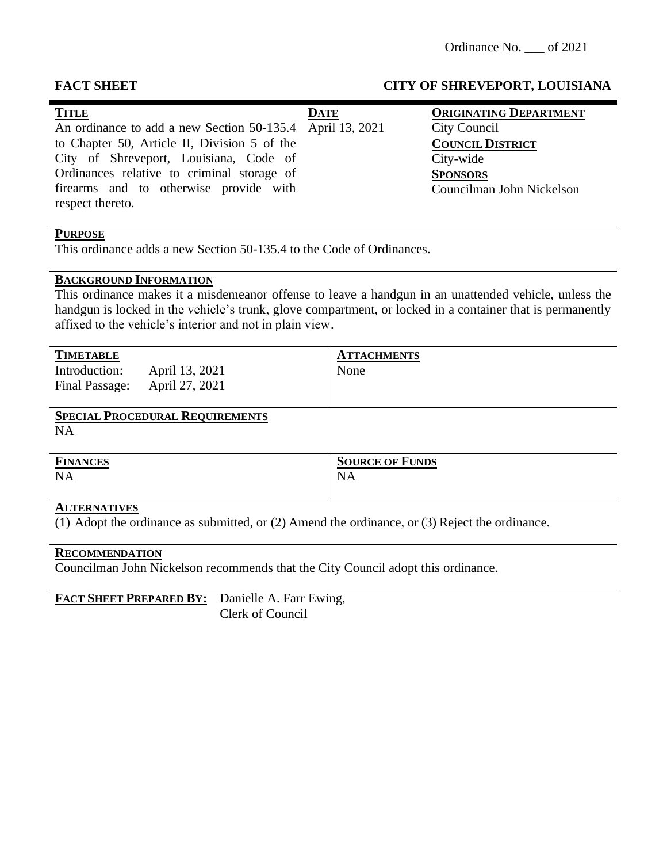#### **TITLE** An ordinance to add a new Section 50-135.4 to Chapter 50, Article II, Division 5 of the City of Shreveport, Louisiana, Code of Ordinances relative to criminal storage of firearms and to otherwise provide with respect thereto. **DATE** April 13, 2021 **ORIGINATING DEPARTMENT** City Council **COUNCIL DISTRICT** City-wide **SPONSORS** Councilman John Nickelson

# **PURPOSE**

This ordinance adds a new Section 50-135.4 to the Code of Ordinances.

#### **BACKGROUND INFORMATION**

This ordinance makes it a misdemeanor offense to leave a handgun in an unattended vehicle, unless the handgun is locked in the vehicle's trunk, glove compartment, or locked in a container that is permanently affixed to the vehicle's interior and not in plain view.

| <b>TIMETABLE</b>                |                                  | <b>ATTACHMENTS</b> |
|---------------------------------|----------------------------------|--------------------|
| Introduction:<br>Final Passage: | April 13, 2021<br>April 27, 2021 | None               |

# **SPECIAL PROCEDURAL REQUIREMENTS**

NA

| <b>FINANCES</b> | <b>SOURCE OF FUNDS</b> |
|-----------------|------------------------|
| <b>NA</b>       | NA                     |
|                 |                        |

#### **ALTERNATIVES**

(1) Adopt the ordinance as submitted, or (2) Amend the ordinance, or (3) Reject the ordinance.

#### **RECOMMENDATION**

Councilman John Nickelson recommends that the City Council adopt this ordinance.

**FACT SHEET PREPARED BY:** Danielle A. Farr Ewing, Clerk of Council

#### **FACT SHEET CITY OF SHREVEPORT, LOUISIANA**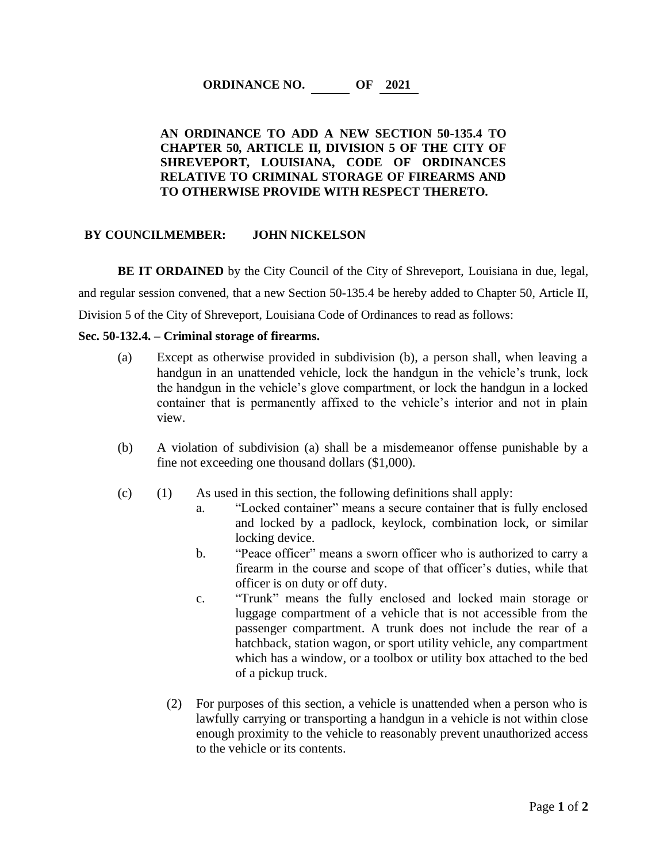## **ORDINANCE NO. OF 2021**

### **AN ORDINANCE TO ADD A NEW SECTION 50-135.4 TO CHAPTER 50, ARTICLE II, DIVISION 5 OF THE CITY OF SHREVEPORT, LOUISIANA, CODE OF ORDINANCES RELATIVE TO CRIMINAL STORAGE OF FIREARMS AND TO OTHERWISE PROVIDE WITH RESPECT THERETO.**

#### **BY COUNCILMEMBER: JOHN NICKELSON**

**BE IT ORDAINED** by the City Council of the City of Shreveport, Louisiana in due, legal, and regular session convened, that a new Section 50-135.4 be hereby added to Chapter 50, Article II, Division 5 of the City of Shreveport, Louisiana Code of Ordinances to read as follows:

#### **Sec. 50-132.4. – Criminal storage of firearms.**

- (a) Except as otherwise provided in subdivision (b), a person shall, when leaving a handgun in an unattended vehicle, lock the handgun in the vehicle's trunk, lock the handgun in the vehicle's glove compartment, or lock the handgun in a locked container that is permanently affixed to the vehicle's interior and not in plain view.
- (b) A violation of subdivision (a) shall be a misdemeanor offense punishable by a fine not exceeding one thousand dollars (\$1,000).
- (c) (1) As used in this section, the following definitions shall apply:
	- a. "Locked container" means a secure container that is fully enclosed and locked by a padlock, keylock, combination lock, or similar locking device.
	- b. "Peace officer" means a sworn officer who is authorized to carry a firearm in the course and scope of that officer's duties, while that officer is on duty or off duty.
	- c. "Trunk" means the fully enclosed and locked main storage or luggage compartment of a vehicle that is not accessible from the passenger compartment. A trunk does not include the rear of a hatchback, station wagon, or sport utility vehicle, any compartment which has a window, or a toolbox or utility box attached to the bed of a pickup truck.
	- (2) For purposes of this section, a vehicle is unattended when a person who is lawfully carrying or transporting a handgun in a vehicle is not within close enough proximity to the vehicle to reasonably prevent unauthorized access to the vehicle or its contents.